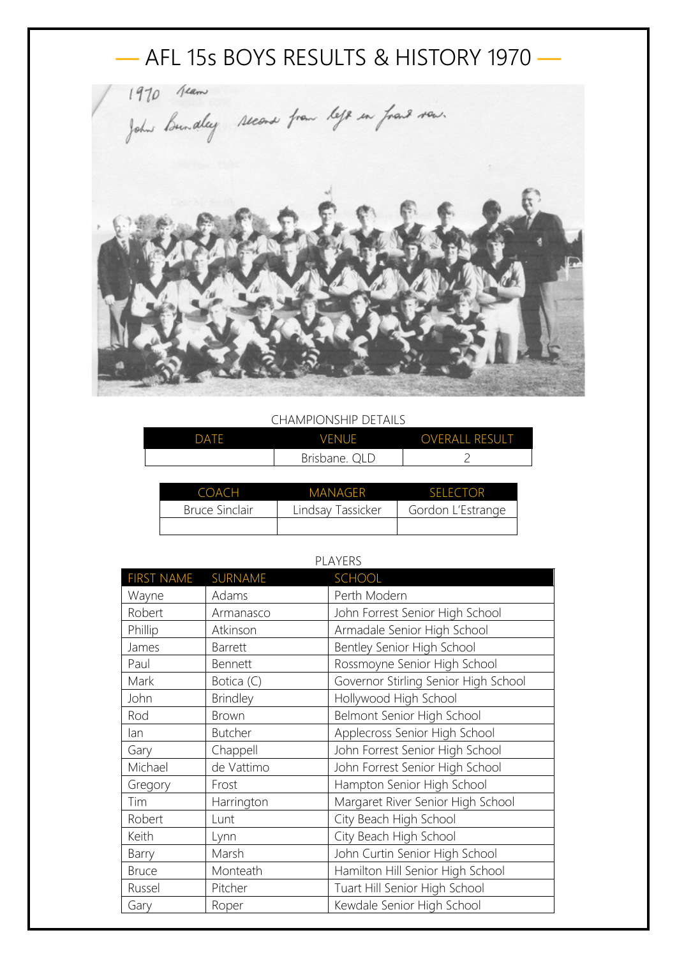

## CHAMPIONSHIP DETAILS

| DATF | <b>VENUE</b>        | <b>OVERALL RESULT</b> |
|------|---------------------|-----------------------|
|      | Brisbane.<br>$\cap$ |                       |

| COACH          | <b>MANAGER</b>    | <b>SELECTOR</b>   |
|----------------|-------------------|-------------------|
| Bruce Sinclair | Lindsay Tassicker | Gordon L'Estrange |
|                |                   |                   |

| 1 LA 1 LIVJ       |                 |                                      |
|-------------------|-----------------|--------------------------------------|
| <b>FIRST NAME</b> | SURNAME         | <b>SCHOOL</b>                        |
| Wayne             | Adams           | Perth Modern                         |
| Robert            | Armanasco       | John Forrest Senior High School      |
| Phillip           | Atkinson        | Armadale Senior High School          |
| James             | <b>Barrett</b>  | Bentley Senior High School           |
| Paul              | Bennett         | Rossmoyne Senior High School         |
| Mark              | Botica (C)      | Governor Stirling Senior High School |
| John              | <b>Brindley</b> | Hollywood High School                |
| Rod               | Brown           | Belmont Senior High School           |
| lan               | <b>Butcher</b>  | Applecross Senior High School        |
| Gary              | Chappell        | John Forrest Senior High School      |
| Michael           | de Vattimo      | John Forrest Senior High School      |
| Gregory           | Frost           | Hampton Senior High School           |
| Tim               | Harrington      | Margaret River Senior High School    |
| Robert            | Lunt            | City Beach High School               |
| Keith             | Lynn            | City Beach High School               |
| Barry             | Marsh           | John Curtin Senior High School       |
| <b>Bruce</b>      | Monteath        | Hamilton Hill Senior High School     |
| Russel            | Pitcher         | Tuart Hill Senior High School        |
| Gary              | Roper           | Kewdale Senior High School           |

## PLAYERS